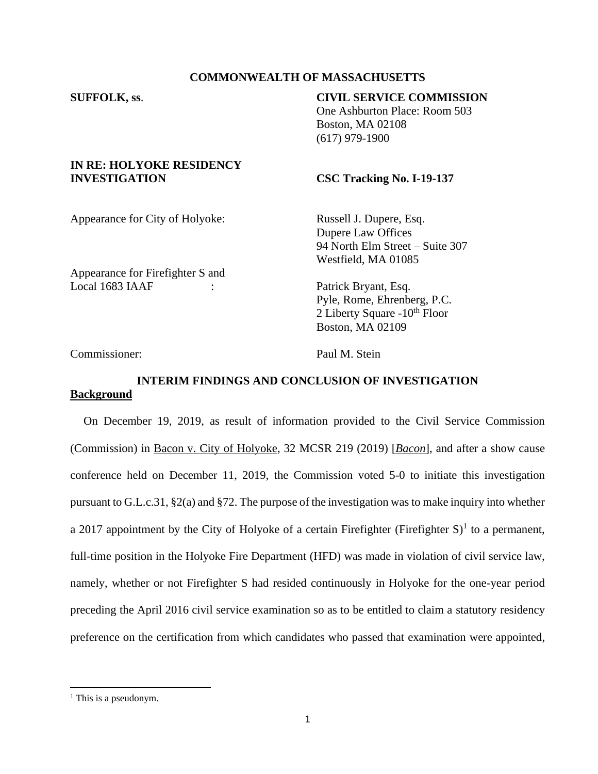## **COMMONWEALTH OF MASSACHUSETTS**

# **SUFFOLK, ss**. **CIVIL SERVICE COMMISSION**

One Ashburton Place: Room 503 Boston, MA 02108 (617) 979-1900

#### **IN RE: HOLYOKE RESIDENCY INVESTIGATION CSC Tracking No. I-19-137**

Appearance for City of Holyoke: Russell J. Dupere, Esq.

Dupere Law Offices 94 North Elm Street – Suite 307 Westfield, MA 01085

Appearance for Firefighter S and Local 1683 IAAF : Patrick Bryant, Esq.

Pyle, Rome, Ehrenberg, P.C. 2 Liberty Square  $-10^{th}$  Floor Boston, MA 02109

Commissioner: Paul M. Stein

## **INTERIM FINDINGS AND CONCLUSION OF INVESTIGATION Background**

On December 19, 2019, as result of information provided to the Civil Service Commission (Commission) in Bacon v. City of Holyoke, 32 MCSR 219 (2019) [*Bacon*], and after a show cause conference held on December 11, 2019, the Commission voted 5-0 to initiate this investigation pursuant to G.L.c.31, §2(a) and §72. The purpose of the investigation was to make inquiry into whether a 2017 appointment by the City of Holyoke of a certain Firefighter (Firefighter  $S$ )<sup>1</sup> to a permanent, full-time position in the Holyoke Fire Department (HFD) was made in violation of civil service law, namely, whether or not Firefighter S had resided continuously in Holyoke for the one-year period preceding the April 2016 civil service examination so as to be entitled to claim a statutory residency preference on the certification from which candidates who passed that examination were appointed,

 $<sup>1</sup>$  This is a pseudonym.</sup>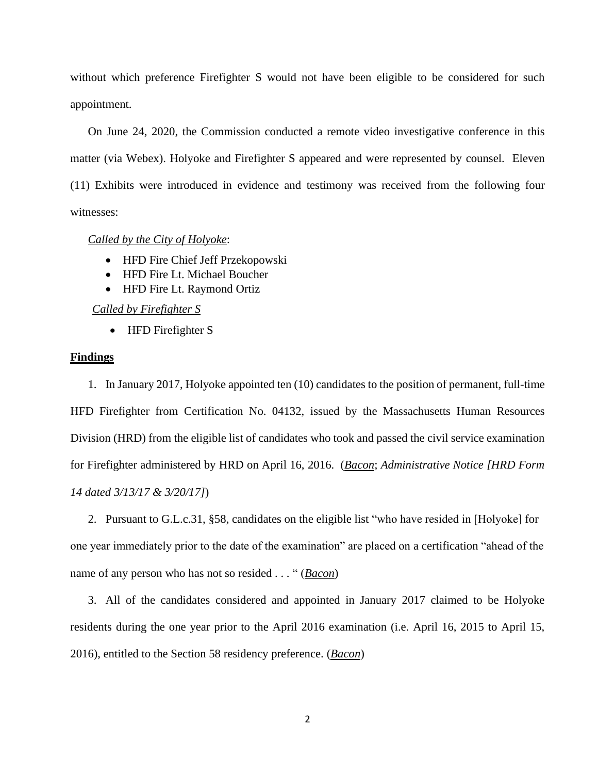without which preference Firefighter S would not have been eligible to be considered for such appointment.

On June 24, 2020, the Commission conducted a remote video investigative conference in this matter (via Webex). Holyoke and Firefighter S appeared and were represented by counsel. Eleven (11) Exhibits were introduced in evidence and testimony was received from the following four witnesses:

*Called by the City of Holyoke*:

- HFD Fire Chief Jeff Przekopowski
- HFD Fire Lt. Michael Boucher
- HFD Fire Lt. Raymond Ortiz

*Called by Firefighter S*

• HFD Firefighter S

#### **Findings**

1. In January 2017, Holyoke appointed ten (10) candidates to the position of permanent, full-time HFD Firefighter from Certification No. 04132, issued by the Massachusetts Human Resources Division (HRD) from the eligible list of candidates who took and passed the civil service examination for Firefighter administered by HRD on April 16, 2016. (*Bacon*; *Administrative Notice [HRD Form 14 dated 3/13/17 & 3/20/17]*)

2. Pursuant to G.L.c.31, §58, candidates on the eligible list "who have resided in [Holyoke] for one year immediately prior to the date of the examination" are placed on a certification "ahead of the name of any person who has not so resided . . . " (*Bacon*)

3. All of the candidates considered and appointed in January 2017 claimed to be Holyoke residents during the one year prior to the April 2016 examination (i.e. April 16, 2015 to April 15, 2016), entitled to the Section 58 residency preference. (*Bacon*)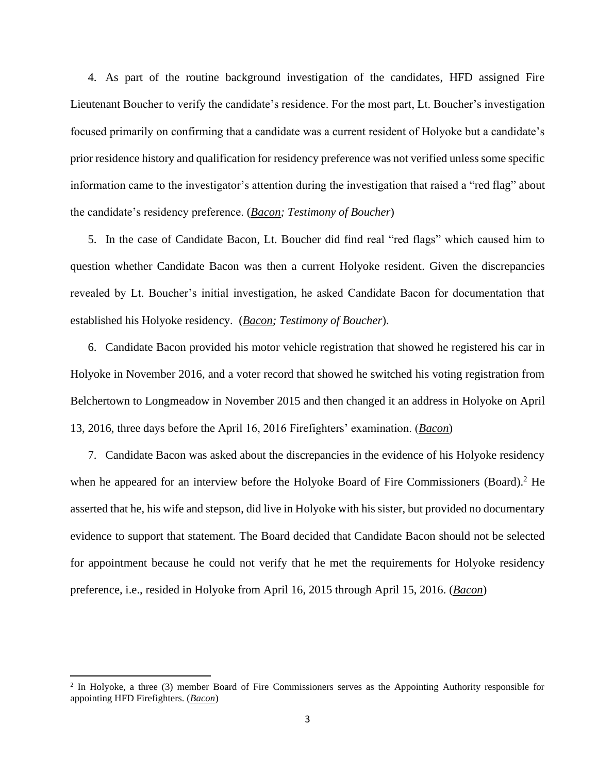4. As part of the routine background investigation of the candidates, HFD assigned Fire Lieutenant Boucher to verify the candidate's residence. For the most part, Lt. Boucher's investigation focused primarily on confirming that a candidate was a current resident of Holyoke but a candidate's prior residence history and qualification for residency preference was not verified unless some specific information came to the investigator's attention during the investigation that raised a "red flag" about the candidate's residency preference. (*Bacon; Testimony of Boucher*)

5. In the case of Candidate Bacon, Lt. Boucher did find real "red flags" which caused him to question whether Candidate Bacon was then a current Holyoke resident. Given the discrepancies revealed by Lt. Boucher's initial investigation, he asked Candidate Bacon for documentation that established his Holyoke residency. (*Bacon; Testimony of Boucher*).

6. Candidate Bacon provided his motor vehicle registration that showed he registered his car in Holyoke in November 2016, and a voter record that showed he switched his voting registration from Belchertown to Longmeadow in November 2015 and then changed it an address in Holyoke on April 13, 2016, three days before the April 16, 2016 Firefighters' examination. (*Bacon*)

7. Candidate Bacon was asked about the discrepancies in the evidence of his Holyoke residency when he appeared for an interview before the Holyoke Board of Fire Commissioners (Board).<sup>2</sup> He asserted that he, his wife and stepson, did live in Holyoke with his sister, but provided no documentary evidence to support that statement. The Board decided that Candidate Bacon should not be selected for appointment because he could not verify that he met the requirements for Holyoke residency preference, i.e., resided in Holyoke from April 16, 2015 through April 15, 2016. (*Bacon*)

<sup>&</sup>lt;sup>2</sup> In Holyoke, a three (3) member Board of Fire Commissioners serves as the Appointing Authority responsible for appointing HFD Firefighters. (*Bacon*)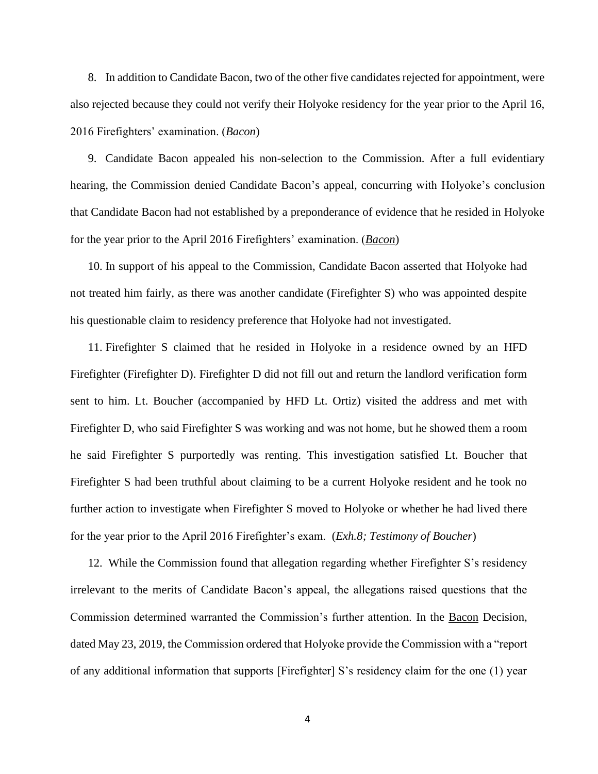8. In addition to Candidate Bacon, two of the other five candidates rejected for appointment, were also rejected because they could not verify their Holyoke residency for the year prior to the April 16, 2016 Firefighters' examination. (*Bacon*)

9. Candidate Bacon appealed his non-selection to the Commission. After a full evidentiary hearing, the Commission denied Candidate Bacon's appeal, concurring with Holyoke's conclusion that Candidate Bacon had not established by a preponderance of evidence that he resided in Holyoke for the year prior to the April 2016 Firefighters' examination. (*Bacon*)

10. In support of his appeal to the Commission, Candidate Bacon asserted that Holyoke had not treated him fairly, as there was another candidate (Firefighter S) who was appointed despite his questionable claim to residency preference that Holyoke had not investigated.

11. Firefighter S claimed that he resided in Holyoke in a residence owned by an HFD Firefighter (Firefighter D). Firefighter D did not fill out and return the landlord verification form sent to him. Lt. Boucher (accompanied by HFD Lt. Ortiz) visited the address and met with Firefighter D, who said Firefighter S was working and was not home, but he showed them a room he said Firefighter S purportedly was renting. This investigation satisfied Lt. Boucher that Firefighter S had been truthful about claiming to be a current Holyoke resident and he took no further action to investigate when Firefighter S moved to Holyoke or whether he had lived there for the year prior to the April 2016 Firefighter's exam. (*Exh.8; Testimony of Boucher*)

12. While the Commission found that allegation regarding whether Firefighter S's residency irrelevant to the merits of Candidate Bacon's appeal, the allegations raised questions that the Commission determined warranted the Commission's further attention. In the Bacon Decision, dated May 23, 2019, the Commission ordered that Holyoke provide the Commission with a "report of any additional information that supports [Firefighter] S's residency claim for the one (1) year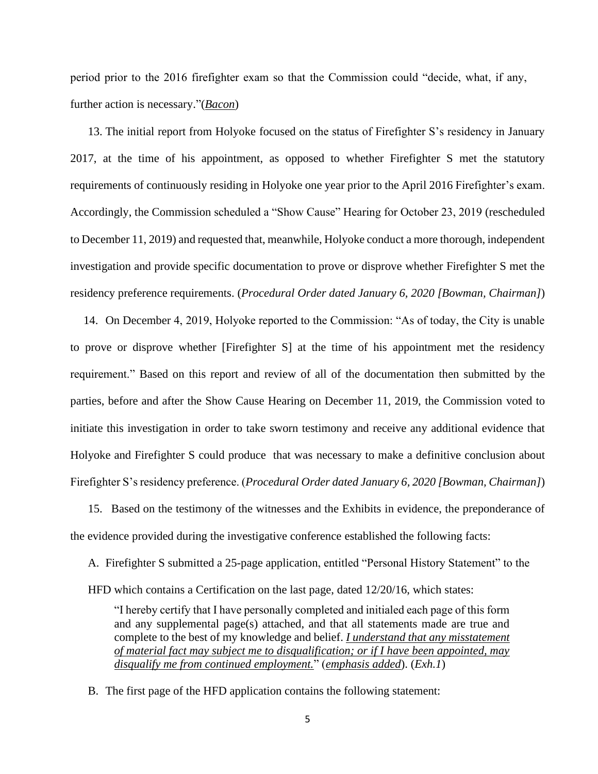period prior to the 2016 firefighter exam so that the Commission could "decide, what, if any, further action is necessary."(*Bacon*)

13. The initial report from Holyoke focused on the status of Firefighter S's residency in January 2017, at the time of his appointment, as opposed to whether Firefighter S met the statutory requirements of continuously residing in Holyoke one year prior to the April 2016 Firefighter's exam. Accordingly, the Commission scheduled a "Show Cause" Hearing for October 23, 2019 (rescheduled to December 11, 2019) and requested that, meanwhile, Holyoke conduct a more thorough, independent investigation and provide specific documentation to prove or disprove whether Firefighter S met the residency preference requirements. (*Procedural Order dated January 6, 2020 [Bowman, Chairman]*)

14. On December 4, 2019, Holyoke reported to the Commission: "As of today, the City is unable to prove or disprove whether [Firefighter S] at the time of his appointment met the residency requirement." Based on this report and review of all of the documentation then submitted by the parties, before and after the Show Cause Hearing on December 11, 2019, the Commission voted to initiate this investigation in order to take sworn testimony and receive any additional evidence that Holyoke and Firefighter S could produce that was necessary to make a definitive conclusion about Firefighter S's residency preference. (*Procedural Order dated January 6, 2020 [Bowman, Chairman]*)

15. Based on the testimony of the witnesses and the Exhibits in evidence, the preponderance of the evidence provided during the investigative conference established the following facts:

A. Firefighter S submitted a 25-page application, entitled "Personal History Statement" to the HFD which contains a Certification on the last page, dated 12/20/16, which states:

"I hereby certify that I have personally completed and initialed each page of this form and any supplemental page(s) attached, and that all statements made are true and complete to the best of my knowledge and belief. *I understand that any misstatement of material fact may subject me to disqualification; or if I have been appointed, may disqualify me from continued employment.*" (*emphasis added*). (*Exh.1*)

B. The first page of the HFD application contains the following statement: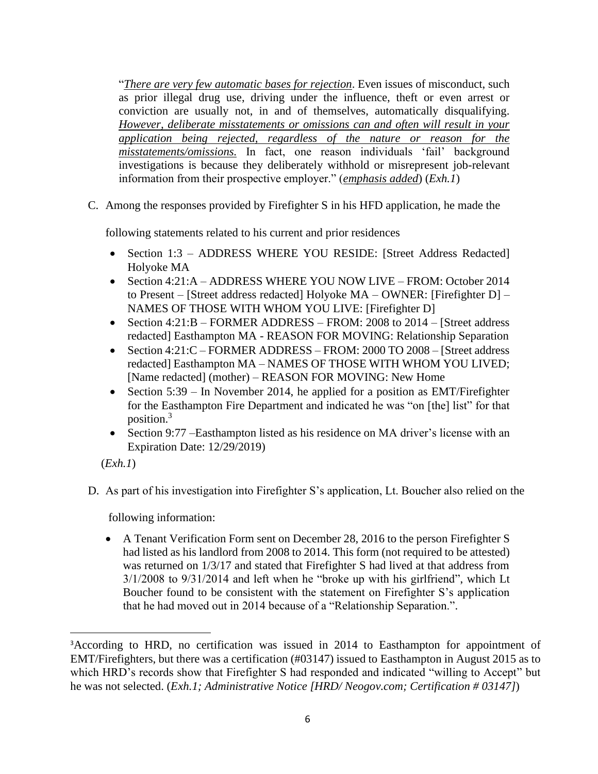"*There are very few automatic bases for rejection*. Even issues of misconduct, such as prior illegal drug use, driving under the influence, theft or even arrest or conviction are usually not, in and of themselves, automatically disqualifying. *However, deliberate misstatements or omissions can and often will result in your application being rejected, regardless of the nature or reason for the misstatements/omissions.* In fact, one reason individuals 'fail' background investigations is because they deliberately withhold or misrepresent job-relevant information from their prospective employer." (*emphasis added*) (*Exh.1*)

C. Among the responses provided by Firefighter S in his HFD application, he made the

following statements related to his current and prior residences

- Section 1:3 ADDRESS WHERE YOU RESIDE: [Street Address Redacted] Holyoke MA
- Section 4:21:A ADDRESS WHERE YOU NOW LIVE FROM: October 2014 to Present – [Street address redacted] Holyoke MA – OWNER: [Firefighter D] – NAMES OF THOSE WITH WHOM YOU LIVE: [Firefighter D]
- Section 4:21:B FORMER ADDRESS FROM: 2008 to 2014 [Street address] redacted] Easthampton MA - REASON FOR MOVING: Relationship Separation
- Section 4:21:C FORMER ADDRESS FROM: 2000 TO 2008 [Street address] redacted] Easthampton MA – NAMES OF THOSE WITH WHOM YOU LIVED; [Name redacted] (mother) – REASON FOR MOVING: New Home
- Section 5:39 In November 2014, he applied for a position as EMT/Firefighter for the Easthampton Fire Department and indicated he was "on [the] list" for that position.<sup>3</sup>
- Section 9:77 –Easthampton listed as his residence on MA driver's license with an Expiration Date: 12/29/2019)

(*Exh.1*)

D. As part of his investigation into Firefighter S's application, Lt. Boucher also relied on the

following information:

• A Tenant Verification Form sent on December 28, 2016 to the person Firefighter S had listed as his landlord from 2008 to 2014. This form (not required to be attested) was returned on 1/3/17 and stated that Firefighter S had lived at that address from 3/1/2008 to 9/31/2014 and left when he "broke up with his girlfriend", which Lt Boucher found to be consistent with the statement on Firefighter S's application that he had moved out in 2014 because of a "Relationship Separation.".

<sup>&</sup>lt;sup>3</sup>According to HRD, no certification was issued in 2014 to Easthampton for appointment of EMT/Firefighters, but there was a certification (#03147) issued to Easthampton in August 2015 as to which HRD's records show that Firefighter S had responded and indicated "willing to Accept" but he was not selected. (*Exh.1; Administrative Notice [HRD/ Neogov.com; Certification # 03147]*)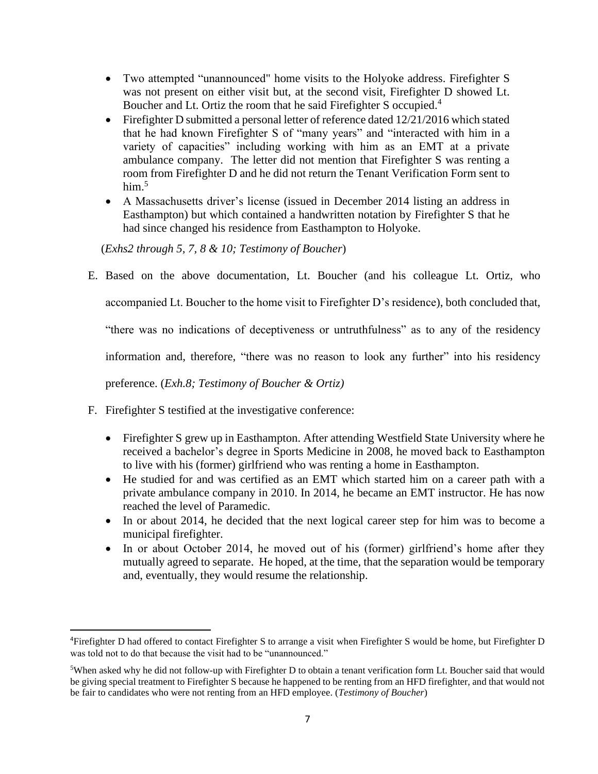- Two attempted "unannounced" home visits to the Holyoke address. Firefighter S was not present on either visit but, at the second visit, Firefighter D showed Lt. Boucher and Lt. Ortiz the room that he said Firefighter S occupied.<sup>4</sup>
- Firefighter D submitted a personal letter of reference dated 12/21/2016 which stated that he had known Firefighter S of "many years" and "interacted with him in a variety of capacities" including working with him as an EMT at a private ambulance company. The letter did not mention that Firefighter S was renting a room from Firefighter D and he did not return the Tenant Verification Form sent to him $<sup>5</sup>$ </sup>
- A Massachusetts driver's license (issued in December 2014 listing an address in Easthampton) but which contained a handwritten notation by Firefighter S that he had since changed his residence from Easthampton to Holyoke.

(*Exhs2 through 5, 7, 8 & 10; Testimony of Boucher*)

E. Based on the above documentation, Lt. Boucher (and his colleague Lt. Ortiz, who

accompanied Lt. Boucher to the home visit to Firefighter D's residence), both concluded that,

"there was no indications of deceptiveness or untruthfulness" as to any of the residency

information and, therefore, "there was no reason to look any further" into his residency

preference. (*Exh.8; Testimony of Boucher & Ortiz)*

- F. Firefighter S testified at the investigative conference:
	- Firefighter S grew up in Easthampton. After attending Westfield State University where he received a bachelor's degree in Sports Medicine in 2008, he moved back to Easthampton to live with his (former) girlfriend who was renting a home in Easthampton.
	- He studied for and was certified as an EMT which started him on a career path with a private ambulance company in 2010. In 2014, he became an EMT instructor. He has now reached the level of Paramedic.
	- In or about 2014, he decided that the next logical career step for him was to become a municipal firefighter.
	- In or about October 2014, he moved out of his (former) girlfriend's home after they mutually agreed to separate. He hoped, at the time, that the separation would be temporary and, eventually, they would resume the relationship.

<sup>4</sup>Firefighter D had offered to contact Firefighter S to arrange a visit when Firefighter S would be home, but Firefighter D was told not to do that because the visit had to be "unannounced."

<sup>5</sup>When asked why he did not follow-up with Firefighter D to obtain a tenant verification form Lt. Boucher said that would be giving special treatment to Firefighter S because he happened to be renting from an HFD firefighter, and that would not be fair to candidates who were not renting from an HFD employee. (*Testimony of Boucher*)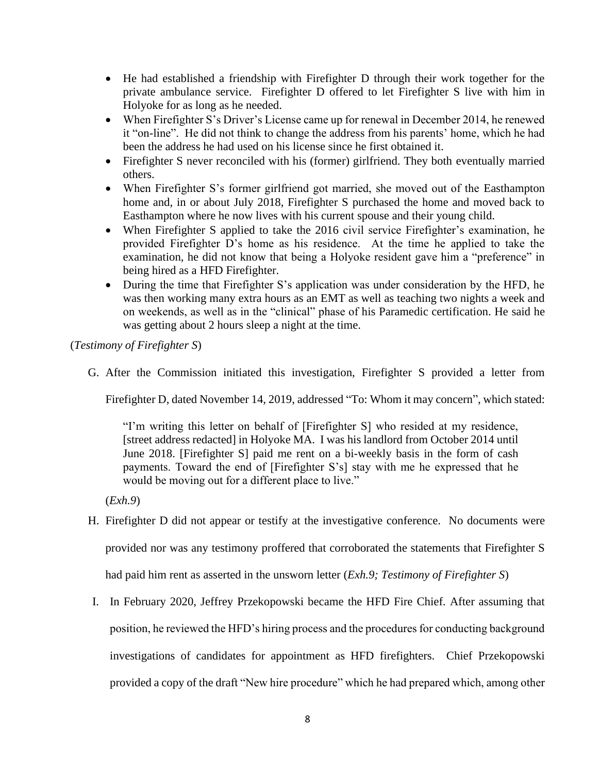- He had established a friendship with Firefighter D through their work together for the private ambulance service. Firefighter D offered to let Firefighter S live with him in Holyoke for as long as he needed.
- When Firefighter S's Driver's License came up for renewal in December 2014, he renewed it "on-line". He did not think to change the address from his parents' home, which he had been the address he had used on his license since he first obtained it.
- Firefighter S never reconciled with his (former) girlfriend. They both eventually married others.
- When Firefighter S's former girlfriend got married, she moved out of the Easthampton home and, in or about July 2018, Firefighter S purchased the home and moved back to Easthampton where he now lives with his current spouse and their young child.
- When Firefighter S applied to take the 2016 civil service Firefighter's examination, he provided Firefighter D's home as his residence. At the time he applied to take the examination, he did not know that being a Holyoke resident gave him a "preference" in being hired as a HFD Firefighter.
- During the time that Firefighter S's application was under consideration by the HFD, he was then working many extra hours as an EMT as well as teaching two nights a week and on weekends, as well as in the "clinical" phase of his Paramedic certification. He said he was getting about 2 hours sleep a night at the time.

(*Testimony of Firefighter S*)

G. After the Commission initiated this investigation, Firefighter S provided a letter from

Firefighter D, dated November 14, 2019, addressed "To: Whom it may concern", which stated:

"I'm writing this letter on behalf of [Firefighter S] who resided at my residence, [street address redacted] in Holyoke MA. I was his landlord from October 2014 until June 2018. [Firefighter S] paid me rent on a bi-weekly basis in the form of cash payments. Toward the end of [Firefighter S's] stay with me he expressed that he would be moving out for a different place to live."

(*Exh.9*)

H. Firefighter D did not appear or testify at the investigative conference. No documents were provided nor was any testimony proffered that corroborated the statements that Firefighter S

had paid him rent as asserted in the unsworn letter (*Exh.9; Testimony of Firefighter S*)

I. In February 2020, Jeffrey Przekopowski became the HFD Fire Chief. After assuming that position, he reviewed the HFD's hiring process and the procedures for conducting background investigations of candidates for appointment as HFD firefighters. Chief Przekopowski provided a copy of the draft "New hire procedure" which he had prepared which, among other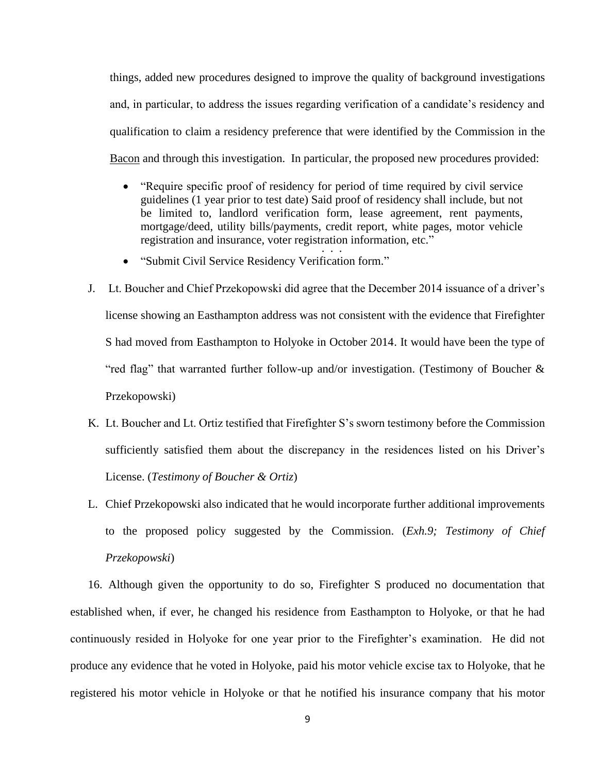things, added new procedures designed to improve the quality of background investigations and, in particular, to address the issues regarding verification of a candidate's residency and qualification to claim a residency preference that were identified by the Commission in the Bacon and through this investigation. In particular, the proposed new procedures provided:

- "Require specific proof of residency for period of time required by civil service guidelines (1 year prior to test date) Said proof of residency shall include, but not be limited to, landlord verification form, lease agreement, rent payments, mortgage/deed, utility bills/payments, credit report, white pages, motor vehicle registration and insurance, voter registration information, etc." . . . .<br>. . .
- "Submit Civil Service Residency Verification form."
- J. Lt. Boucher and Chief Przekopowski did agree that the December 2014 issuance of a driver's license showing an Easthampton address was not consistent with the evidence that Firefighter S had moved from Easthampton to Holyoke in October 2014. It would have been the type of "red flag" that warranted further follow-up and/or investigation. (Testimony of Boucher & Przekopowski)
- K. Lt. Boucher and Lt. Ortiz testified that Firefighter S's sworn testimony before the Commission sufficiently satisfied them about the discrepancy in the residences listed on his Driver's License. (*Testimony of Boucher & Ortiz*)
- L. Chief Przekopowski also indicated that he would incorporate further additional improvements to the proposed policy suggested by the Commission. (*Exh.9; Testimony of Chief Przekopowski*)

16. Although given the opportunity to do so, Firefighter S produced no documentation that established when, if ever, he changed his residence from Easthampton to Holyoke, or that he had continuously resided in Holyoke for one year prior to the Firefighter's examination. He did not produce any evidence that he voted in Holyoke, paid his motor vehicle excise tax to Holyoke, that he registered his motor vehicle in Holyoke or that he notified his insurance company that his motor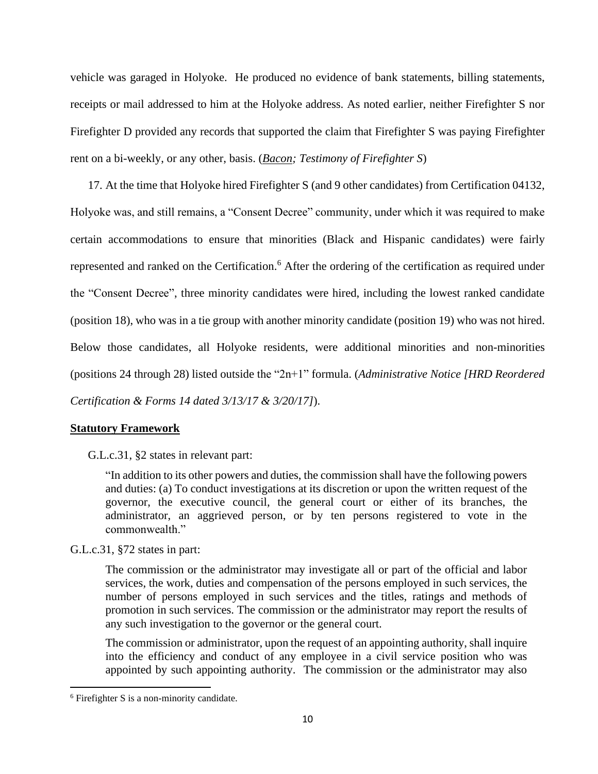vehicle was garaged in Holyoke. He produced no evidence of bank statements, billing statements, receipts or mail addressed to him at the Holyoke address. As noted earlier, neither Firefighter S nor Firefighter D provided any records that supported the claim that Firefighter S was paying Firefighter rent on a bi-weekly, or any other, basis. (*Bacon; Testimony of Firefighter S*)

17. At the time that Holyoke hired Firefighter S (and 9 other candidates) from Certification 04132, Holyoke was, and still remains, a "Consent Decree" community, under which it was required to make certain accommodations to ensure that minorities (Black and Hispanic candidates) were fairly represented and ranked on the Certification.<sup>6</sup> After the ordering of the certification as required under the "Consent Decree", three minority candidates were hired, including the lowest ranked candidate (position 18), who was in a tie group with another minority candidate (position 19) who was not hired. Below those candidates, all Holyoke residents, were additional minorities and non-minorities (positions 24 through 28) listed outside the "2n+1" formula. (*Administrative Notice [HRD Reordered Certification & Forms 14 dated 3/13/17 & 3/20/17]*).

## **Statutory Framework**

G.L.c.31, §2 states in relevant part:

"In addition to its other powers and duties, the commission shall have the following powers and duties: (a) To conduct investigations at its discretion or upon the written request of the governor, the executive council, the general court or either of its branches, the administrator, an aggrieved person, or by ten persons registered to vote in the commonwealth."

#### G.L.c.31, §72 states in part:

The commission or the administrator may investigate all or part of the official and labor services, the work, duties and compensation of the persons employed in such services, the number of persons employed in such services and the titles, ratings and methods of promotion in such services. The commission or the administrator may report the results of any such investigation to the governor or the general court.

The commission or administrator, upon the request of an appointing authority, shall inquire into the efficiency and conduct of any employee in a civil service position who was appointed by such appointing authority. The commission or the administrator may also

<sup>&</sup>lt;sup>6</sup> Firefighter S is a non-minority candidate.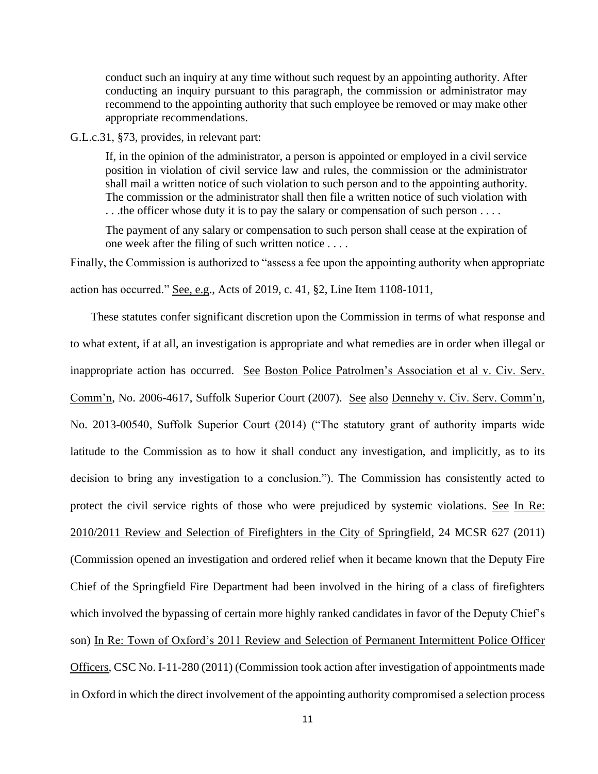conduct such an inquiry at any time without such request by an appointing authority. After conducting an inquiry pursuant to this paragraph, the commission or administrator may recommend to the appointing authority that such employee be removed or may make other appropriate recommendations.

G.L.c.31, §73, provides, in relevant part:

If, in the opinion of the administrator, a person is appointed or employed in a civil service position in violation of civil service law and rules, the commission or the administrator shall mail a written notice of such violation to such person and to the appointing authority. The commission or the administrator shall then file a written notice of such violation with ... the officer whose duty it is to pay the salary or compensation of such person ....

The payment of any salary or compensation to such person shall cease at the expiration of one week after the filing of such written notice . . . .

Finally, the Commission is authorized to "assess a fee upon the appointing authority when appropriate

action has occurred." See, e.g., Acts of 2019, c. 41, §2, Line Item 1108-1011,

 These statutes confer significant discretion upon the Commission in terms of what response and to what extent, if at all, an investigation is appropriate and what remedies are in order when illegal or inappropriate action has occurred. See Boston Police Patrolmen's Association et al v. Civ. Serv. Comm'n, No. 2006-4617, Suffolk Superior Court (2007). See also Dennehy v. Civ. Serv. Comm'n, No. 2013-00540, Suffolk Superior Court (2014) ("The statutory grant of authority imparts wide latitude to the Commission as to how it shall conduct any investigation, and implicitly, as to its decision to bring any investigation to a conclusion."). The Commission has consistently acted to protect the civil service rights of those who were prejudiced by systemic violations. See In Re: 2010/2011 Review and Selection of Firefighters in the City of Springfield, 24 MCSR 627 (2011) (Commission opened an investigation and ordered relief when it became known that the Deputy Fire Chief of the Springfield Fire Department had been involved in the hiring of a class of firefighters which involved the bypassing of certain more highly ranked candidates in favor of the Deputy Chief's son) In Re: Town of Oxford's 2011 Review and Selection of Permanent Intermittent Police Officer Officers, CSC No. I-11-280 (2011) (Commission took action after investigation of appointments made in Oxford in which the direct involvement of the appointing authority compromised a selection process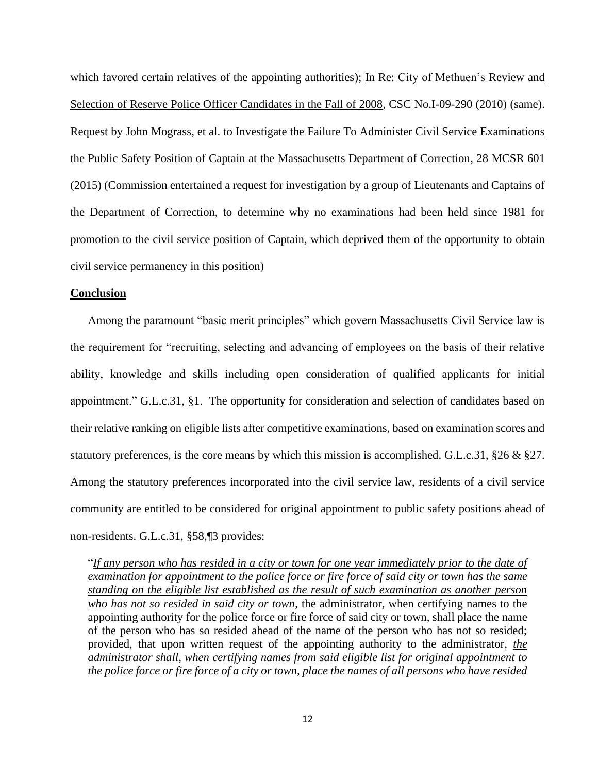which favored certain relatives of the appointing authorities); In Re: City of Methuen's Review and Selection of Reserve Police Officer Candidates in the Fall of 2008, CSC No.I-09-290 (2010) (same). Request by John Mograss, et al. to Investigate the Failure To Administer Civil Service Examinations the Public Safety Position of Captain at the Massachusetts Department of Correction, 28 MCSR 601 (2015) (Commission entertained a request for investigation by a group of Lieutenants and Captains of the Department of Correction, to determine why no examinations had been held since 1981 for promotion to the civil service position of Captain, which deprived them of the opportunity to obtain civil service permanency in this position)

#### **Conclusion**

Among the paramount "basic merit principles" which govern Massachusetts Civil Service law is the requirement for "recruiting, selecting and advancing of employees on the basis of their relative ability, knowledge and skills including open consideration of qualified applicants for initial appointment." G.L.c.31, §1. The opportunity for consideration and selection of candidates based on their relative ranking on eligible lists after competitive examinations, based on examination scores and statutory preferences, is the core means by which this mission is accomplished. G.L.c.31, §26 & §27. Among the statutory preferences incorporated into the civil service law, residents of a civil service community are entitled to be considered for original appointment to public safety positions ahead of non-residents. G.L.c.31, §58,¶3 provides:

"*If any person who has resided in a city or town for one year immediately prior to the date of examination for appointment to the police force or fire force of said city or town has the same standing on the eligible list established as the result of such examination as another person who has not so resided in said city or town*, the administrator, when certifying names to the appointing authority for the police force or fire force of said city or town, shall place the name of the person who has so resided ahead of the name of the person who has not so resided; provided, that upon written request of the appointing authority to the administrator, *the administrator shall, when certifying names from said eligible list for original appointment to the police force or fire force of a city or town, place the names of all persons who have resided*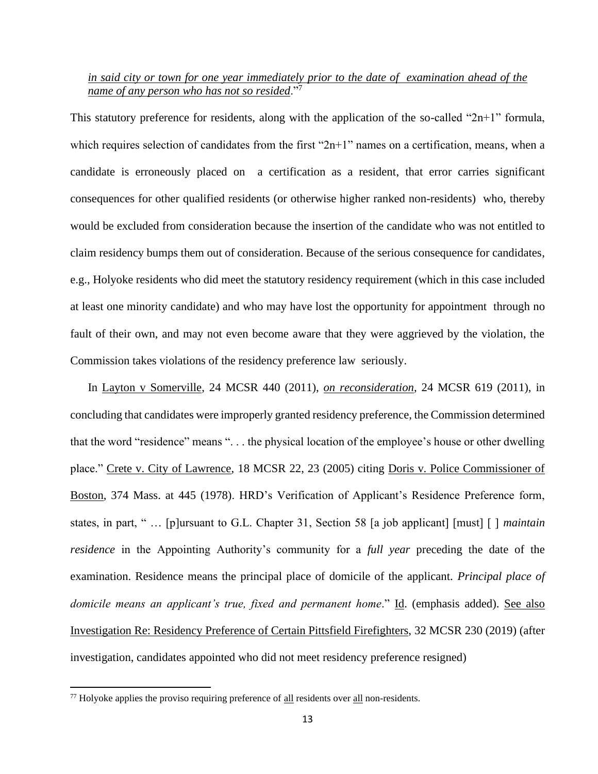#### *in said city or town for one year immediately prior to the date of examination ahead of the name of any person who has not so resided*."<sup>7</sup>

This statutory preference for residents, along with the application of the so-called "2n+1" formula, which requires selection of candidates from the first "2n+1" names on a certification, means, when a candidate is erroneously placed on a certification as a resident, that error carries significant consequences for other qualified residents (or otherwise higher ranked non-residents) who, thereby would be excluded from consideration because the insertion of the candidate who was not entitled to claim residency bumps them out of consideration. Because of the serious consequence for candidates, e.g., Holyoke residents who did meet the statutory residency requirement (which in this case included at least one minority candidate) and who may have lost the opportunity for appointment through no fault of their own, and may not even become aware that they were aggrieved by the violation, the Commission takes violations of the residency preference law seriously.

In Layton v Somerville, 24 MCSR 440 (2011), *on reconsideration*, 24 MCSR 619 (2011), in concluding that candidates were improperly granted residency preference, the Commission determined that the word "residence" means ". . . the physical location of the employee's house or other dwelling place." Crete v. City of Lawrence, 18 MCSR 22, 23 (2005) citing Doris v. Police Commissioner of Boston, 374 Mass. at 445 (1978). HRD's Verification of Applicant's Residence Preference form, states, in part, " … [p]ursuant to G.L. Chapter 31, Section 58 [a job applicant] [must] [ ] *maintain residence* in the Appointing Authority's community for a *full year* preceding the date of the examination. Residence means the principal place of domicile of the applicant. *Principal place of domicile means an applicant's true, fixed and permanent home*." Id. (emphasis added). See also Investigation Re: Residency Preference of Certain Pittsfield Firefighters, 32 MCSR 230 (2019) (after investigation, candidates appointed who did not meet residency preference resigned)

 $77$  Holyoke applies the proviso requiring preference of all residents over all non-residents.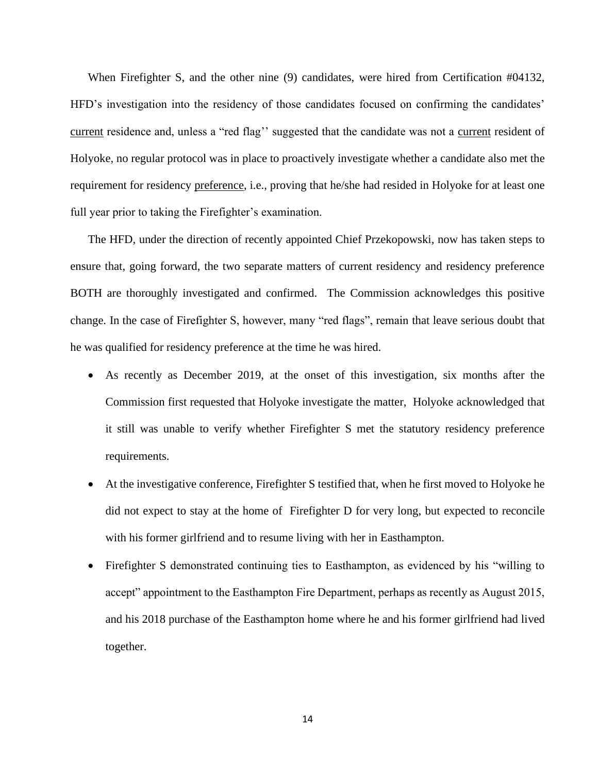When Firefighter S, and the other nine (9) candidates, were hired from Certification #04132, HFD's investigation into the residency of those candidates focused on confirming the candidates' current residence and, unless a "red flag'' suggested that the candidate was not a current resident of Holyoke, no regular protocol was in place to proactively investigate whether a candidate also met the requirement for residency preference, i.e., proving that he/she had resided in Holyoke for at least one full year prior to taking the Firefighter's examination.

The HFD, under the direction of recently appointed Chief Przekopowski, now has taken steps to ensure that, going forward, the two separate matters of current residency and residency preference BOTH are thoroughly investigated and confirmed. The Commission acknowledges this positive change. In the case of Firefighter S, however, many "red flags", remain that leave serious doubt that he was qualified for residency preference at the time he was hired.

- As recently as December 2019, at the onset of this investigation, six months after the Commission first requested that Holyoke investigate the matter, Holyoke acknowledged that it still was unable to verify whether Firefighter S met the statutory residency preference requirements.
- At the investigative conference, Firefighter S testified that, when he first moved to Holyoke he did not expect to stay at the home of Firefighter D for very long, but expected to reconcile with his former girlfriend and to resume living with her in Easthampton.
- Firefighter S demonstrated continuing ties to Easthampton, as evidenced by his "willing to accept" appointment to the Easthampton Fire Department, perhaps as recently as August 2015, and his 2018 purchase of the Easthampton home where he and his former girlfriend had lived together.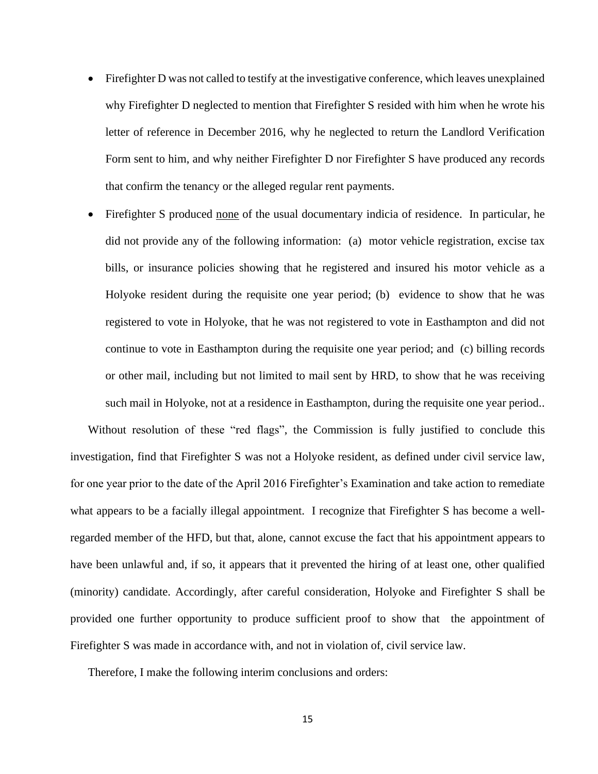- Firefighter D was not called to testify at the investigative conference, which leaves unexplained why Firefighter D neglected to mention that Firefighter S resided with him when he wrote his letter of reference in December 2016, why he neglected to return the Landlord Verification Form sent to him, and why neither Firefighter D nor Firefighter S have produced any records that confirm the tenancy or the alleged regular rent payments.
- Firefighter S produced none of the usual documentary indicia of residence. In particular, he did not provide any of the following information: (a) motor vehicle registration, excise tax bills, or insurance policies showing that he registered and insured his motor vehicle as a Holyoke resident during the requisite one year period; (b) evidence to show that he was registered to vote in Holyoke, that he was not registered to vote in Easthampton and did not continue to vote in Easthampton during the requisite one year period; and (c) billing records or other mail, including but not limited to mail sent by HRD, to show that he was receiving such mail in Holyoke, not at a residence in Easthampton, during the requisite one year period..

Without resolution of these "red flags", the Commission is fully justified to conclude this investigation, find that Firefighter S was not a Holyoke resident, as defined under civil service law, for one year prior to the date of the April 2016 Firefighter's Examination and take action to remediate what appears to be a facially illegal appointment. I recognize that Firefighter S has become a wellregarded member of the HFD, but that, alone, cannot excuse the fact that his appointment appears to have been unlawful and, if so, it appears that it prevented the hiring of at least one, other qualified (minority) candidate. Accordingly, after careful consideration, Holyoke and Firefighter S shall be provided one further opportunity to produce sufficient proof to show that the appointment of Firefighter S was made in accordance with, and not in violation of, civil service law.

Therefore, I make the following interim conclusions and orders: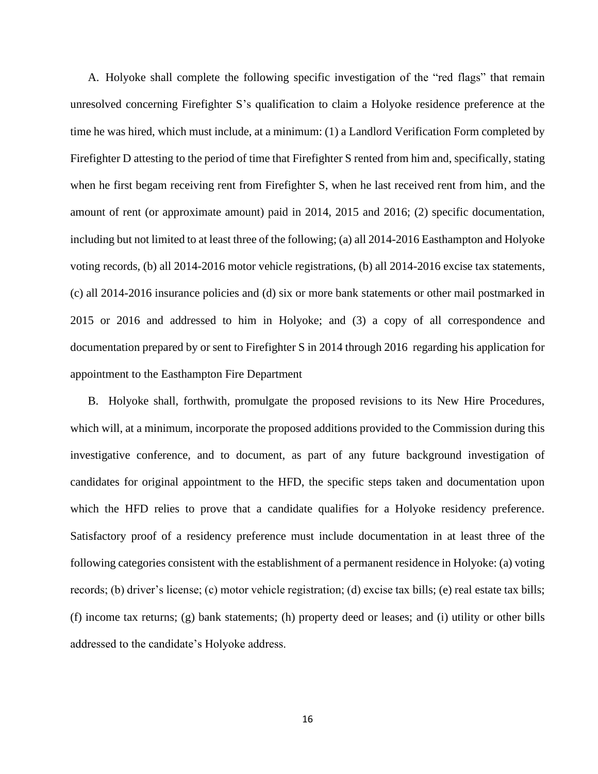A. Holyoke shall complete the following specific investigation of the "red flags" that remain unresolved concerning Firefighter S's qualification to claim a Holyoke residence preference at the time he was hired, which must include, at a minimum: (1) a Landlord Verification Form completed by Firefighter D attesting to the period of time that Firefighter S rented from him and, specifically, stating when he first begam receiving rent from Firefighter S, when he last received rent from him, and the amount of rent (or approximate amount) paid in 2014, 2015 and 2016; (2) specific documentation, including but not limited to at least three of the following; (a) all 2014-2016 Easthampton and Holyoke voting records, (b) all 2014-2016 motor vehicle registrations, (b) all 2014-2016 excise tax statements, (c) all 2014-2016 insurance policies and (d) six or more bank statements or other mail postmarked in 2015 or 2016 and addressed to him in Holyoke; and (3) a copy of all correspondence and documentation prepared by or sent to Firefighter S in 2014 through 2016 regarding his application for appointment to the Easthampton Fire Department

B. Holyoke shall, forthwith, promulgate the proposed revisions to its New Hire Procedures, which will, at a minimum, incorporate the proposed additions provided to the Commission during this investigative conference, and to document, as part of any future background investigation of candidates for original appointment to the HFD, the specific steps taken and documentation upon which the HFD relies to prove that a candidate qualifies for a Holyoke residency preference. Satisfactory proof of a residency preference must include documentation in at least three of the following categories consistent with the establishment of a permanent residence in Holyoke: (a) voting records; (b) driver's license; (c) motor vehicle registration; (d) excise tax bills; (e) real estate tax bills; (f) income tax returns; (g) bank statements; (h) property deed or leases; and (i) utility or other bills addressed to the candidate's Holyoke address.